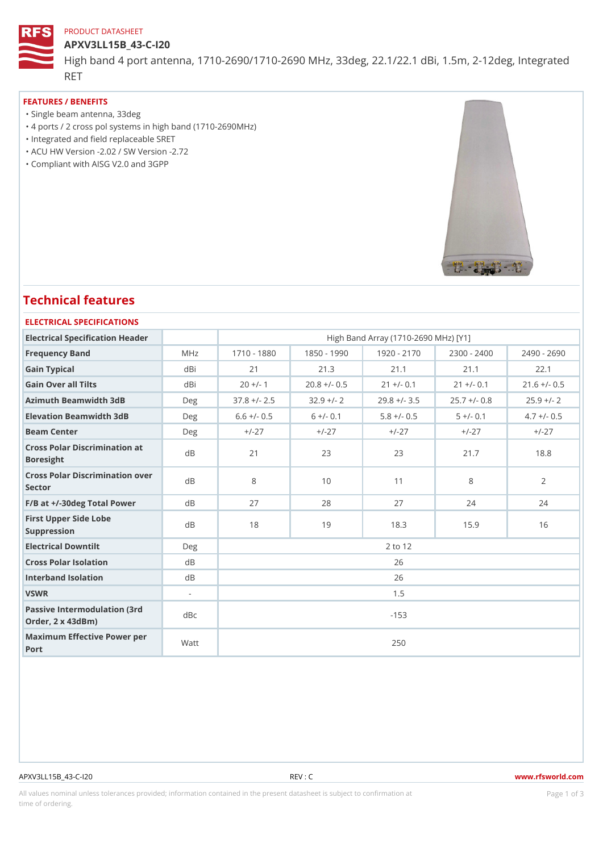## PRODUCT DATASHEET

#### APXV3LL15B\_43-C-I20

High band 4 port antenna, 1710-2690/1710-2690 MHz, 33deg, 22.1/22.1 RET

## FEATURES / BENEFITS

- "Single beam antenna, 33deg
- "4 ports / 2 cross pol systems in high band (1710-2690MHz)
- "Integrated and field replaceable SRET
- "ACU HW Version -2.02 / SW Version -2.72
- "Compliant with AISG V2.0 and 3GPP

# Technical features

#### ELECTRICAL SPECIFICATIONS

| Electrical Specification Header                       |                          | High Band Array (1710-2690 MHz) [Y1] |                             |                          |              |                                                             |  |  |
|-------------------------------------------------------|--------------------------|--------------------------------------|-----------------------------|--------------------------|--------------|-------------------------------------------------------------|--|--|
| Frequency Band                                        | MHz                      |                                      |                             |                          |              | 1710 - 1880 1850 - 1990 1920 - 2170 2300 - 2400 2490 - 2690 |  |  |
| Gain Typical                                          | dBi                      | 21                                   | 21.3                        | 21.1                     | 21.1         | 22.1                                                        |  |  |
| Gain Over all Tilts                                   | dBi                      | $20 +/- 1$                           |                             | $20.8 +/- 0.5$ 21 +/- 0. | $21 +/- 0.1$ | $21.6$ +/- 0.5                                              |  |  |
| Azimuth Beamwidth 3dB                                 | $D$ e q                  |                                      | $37.8 + (-2.5 \t32.9 + (-2$ |                          |              | $29.8 +/- 3.5 25.7 +/- 0.8 25.9 +/- 2$                      |  |  |
| Elevation Beamwidth 3dB                               | Deg                      | $6.6 +/- 0.5$                        | $6 +/- 0.1$                 | $5.8 + (-0.5$            | $5 +/- 0.1$  | $4.7 +/- 0.5$                                               |  |  |
| Beam Center                                           | Deg                      | $+/-27$                              | $+/-27$                     | $+/-27$                  | $+/-27$      | $+/-27$                                                     |  |  |
| Cross Polar Discrimination at<br>Boresight            |                          | 21                                   | 23                          | 23                       | 21.7         | 18.8                                                        |  |  |
| Cross Polar Discrimination over<br>Sector             |                          | 8                                    | 10                          | 11                       | 8            | 2                                                           |  |  |
| $F/B$ at $+/-30$ deg Total Powerd B                   |                          | 27                                   | 28                          | 27                       | 24           | 24                                                          |  |  |
| First Upper Side Lobe<br>Suppression                  | d B                      | 18                                   | 19                          | 18.3                     | 15.9         | 16                                                          |  |  |
| Electrical Downtilt                                   | Deg                      | 2 to 12                              |                             |                          |              |                                                             |  |  |
| Cross Polar Isolation                                 | d B                      | 26                                   |                             |                          |              |                                                             |  |  |
| Interband Isolation                                   | $d$ B                    | 26                                   |                             |                          |              |                                                             |  |  |
| VSWR                                                  | $\overline{\phantom{a}}$ | 1.5                                  |                             |                          |              |                                                             |  |  |
| Passive Intermodulation (3rd dBc<br>Order, 2 x 43dBm) |                          | $-153$                               |                             |                          |              |                                                             |  |  |
| Maximum Effective Power per<br>Port                   |                          | 250                                  |                             |                          |              |                                                             |  |  |

#### APXV3LL15B\_43-C-I20 REV : C www.rfsworld.com

All values nominal unless tolerances provided; information contained in the present datasheet is subject to PcaogneionIm atio time of ordering.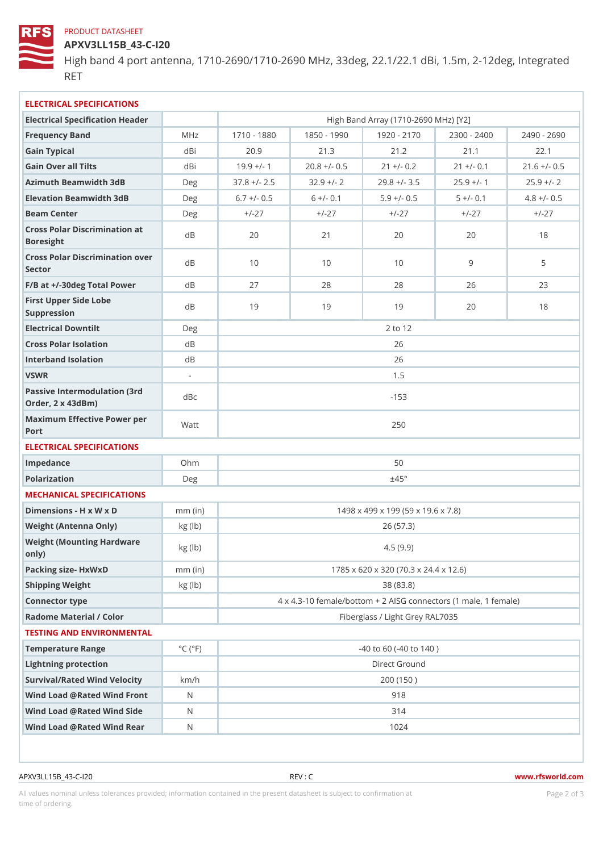## PRODUCT DATASHEET

APXV3LL15B\_43-C-I20

High band 4 port antenna, 1710-2690/1710-2690 MHz, 33deg, 22.1/22.1 RET

| ELECTRICAL SPECIFICATIONS                             |                             |                                                                |                           |                                      |                         |                                                             |  |  |
|-------------------------------------------------------|-----------------------------|----------------------------------------------------------------|---------------------------|--------------------------------------|-------------------------|-------------------------------------------------------------|--|--|
| Electrical Specification Header                       |                             |                                                                |                           | High Band Array (1710-2690 MHz) [Y2] |                         |                                                             |  |  |
| Frequency Band                                        | M H z                       |                                                                |                           |                                      |                         | 1710 - 1830 1850 - 1990 1920 - 2170 2300 - 2400 2490 - 2690 |  |  |
| Gain Typical                                          | dBi                         | $20.9$                                                         | 21.3                      | 21.2                                 | 21.1                    | 22.1                                                        |  |  |
| Gain Over all Tilts                                   | dBi                         | $19.9 +/-$                                                     |                           | $20.8 +/- 0.5$ 21 +/- 0.2            | $21 +/- 0.1$            | $21.6$ +/- 0.5                                              |  |  |
| Azimuth Beamwidth 3dB                                 | Deg                         |                                                                | $37.8$ +/- 2.5 32.9 +/- 2 |                                      | $29.8 +/- 3.5 25.9 +/-$ | $25.9$ +/- 2                                                |  |  |
| Elevation Beamwidth 3dB                               | Deg                         | $6.7$ +/- 0.5                                                  | $6 +/- 0.1$               | $5.9 +/- 0.5$                        | $5 +/- 0.1$             | $4.8 +/- 0.5$                                               |  |  |
| Beam Center                                           | Deg                         | $+/-27$                                                        | $+/-27$                   | $+/-27$                              | $+/-27$                 | $+/-27$                                                     |  |  |
| Cross Polar Discrimination at<br>Boresight            |                             | 20                                                             | 21                        | 20                                   | 20                      | 18                                                          |  |  |
| Cross Polar Discrimination over<br>Sector             |                             | 10                                                             | 10                        | 10                                   | 9                       | 5                                                           |  |  |
| $F/B$ at $+/-30$ deg Total Powerd B                   |                             | 27                                                             | 28                        | 28                                   | 26                      | 23                                                          |  |  |
| First Upper Side Lobe<br>Suppression                  | d B                         | 19                                                             | 19                        | 19                                   | 20                      | 18                                                          |  |  |
| Electrical Downtilt                                   | Deg                         | 2 to 12                                                        |                           |                                      |                         |                                                             |  |  |
| Cross Polar Isolation                                 | d B                         | 26                                                             |                           |                                      |                         |                                                             |  |  |
| Interband Isolation                                   | d B                         | 26                                                             |                           |                                      |                         |                                                             |  |  |
| VSWR                                                  | $\sim$                      | 1.5                                                            |                           |                                      |                         |                                                             |  |  |
| Passive Intermodulation (3rd dBc<br>Order, 2 x 43dBm) |                             | $-153$                                                         |                           |                                      |                         |                                                             |  |  |
| Maximum Effective Power per<br>Port                   |                             | 250                                                            |                           |                                      |                         |                                                             |  |  |
| ELECTRICAL SPECIFICATIONS                             |                             |                                                                |                           |                                      |                         |                                                             |  |  |
| Impedance                                             | $Oh$ m                      | 50                                                             |                           |                                      |                         |                                                             |  |  |
| Polarization                                          | Deg                         | ±45°                                                           |                           |                                      |                         |                                                             |  |  |
| MECHANICAL SPECIFICATIONS                             |                             |                                                                |                           |                                      |                         |                                                             |  |  |
| Dimensions - H x W x D                                | $mm$ (in)                   | 1498 x 499 x 199 (59 x 19.6 x 7.8)                             |                           |                                      |                         |                                                             |  |  |
| Weight (Antenna Only)                                 | kg (lb)                     | 26 (57.3)                                                      |                           |                                      |                         |                                                             |  |  |
| Weight (Mounting Hardware kg (lb)<br>0nly)            |                             | 4.5(9.9)                                                       |                           |                                      |                         |                                                             |  |  |
| Packing size- HxWxD                                   | $mm$ (in)                   | 1785 x 620 x 320 (70.3 x 24.4 x 12.6)                          |                           |                                      |                         |                                                             |  |  |
| Shipping Weight                                       | kg (lb)                     | 38 (83.8)                                                      |                           |                                      |                         |                                                             |  |  |
| Connector type                                        |                             | $4 \times 4.3 - 10$ female/bottom + 2 AISG connectors (1 ma e, |                           |                                      |                         |                                                             |  |  |
| Radome Material / Color                               |                             | Fiberglass / Light Grey RAL7035                                |                           |                                      |                         |                                                             |  |  |
| TESTING AND ENVIRONMENTAL                             |                             |                                                                |                           |                                      |                         |                                                             |  |  |
| Temperature Range                                     | $^{\circ}$ C ( $^{\circ}$ F | $-40$ to 60 ( $-40$ to 140)                                    |                           |                                      |                         |                                                             |  |  |
| Lightning protection                                  |                             | Direct Ground                                                  |                           |                                      |                         |                                                             |  |  |
| Survival/Rated Wind Velocikm/h                        |                             | 200 (150)                                                      |                           |                                      |                         |                                                             |  |  |
| Wind Load @ Rated Wind FroNt                          |                             | 918                                                            |                           |                                      |                         |                                                             |  |  |
| Wind Load @ Rated Wind Sidd                           |                             | 314                                                            |                           |                                      |                         |                                                             |  |  |
| Wind Load @ Rated Wind ReaN                           |                             | 1024                                                           |                           |                                      |                         |                                                             |  |  |
|                                                       |                             |                                                                |                           |                                      |                         |                                                             |  |  |

APXV3LL15B\_43-C-I20 REV : C www.rfsworld.com

All values nominal unless tolerances provided; information contained in the present datasheet is subject to Pcaognéio 2nfirmatio time of ordering.